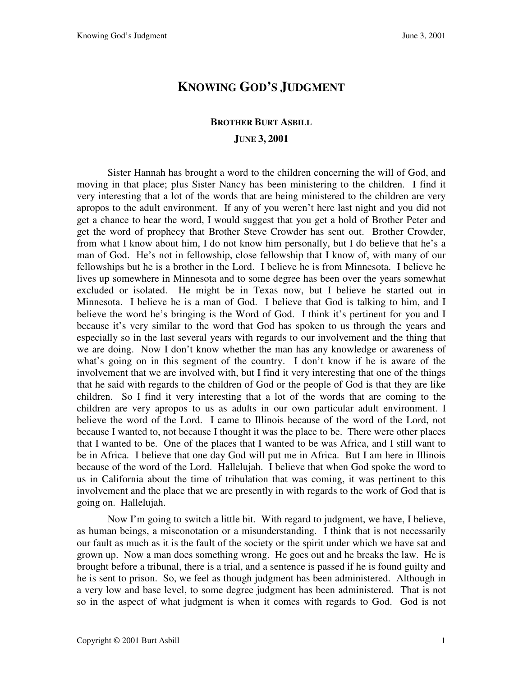## **KNOWING GOD'S JUDGMENT**

## **BROTHER BURT ASBILL JUNE 3, 2001**

Sister Hannah has brought a word to the children concerning the will of God, and moving in that place; plus Sister Nancy has been ministering to the children. I find it very interesting that a lot of the words that are being ministered to the children are very apropos to the adult environment. If any of you weren't here last night and you did not get a chance to hear the word, I would suggest that you get a hold of Brother Peter and get the word of prophecy that Brother Steve Crowder has sent out. Brother Crowder, from what I know about him, I do not know him personally, but I do believe that he's a man of God. He's not in fellowship, close fellowship that I know of, with many of our fellowships but he is a brother in the Lord. I believe he is from Minnesota. I believe he lives up somewhere in Minnesota and to some degree has been over the years somewhat excluded or isolated. He might be in Texas now, but I believe he started out in Minnesota. I believe he is a man of God. I believe that God is talking to him, and I believe the word he's bringing is the Word of God. I think it's pertinent for you and I because it's very similar to the word that God has spoken to us through the years and especially so in the last several years with regards to our involvement and the thing that we are doing. Now I don't know whether the man has any knowledge or awareness of what's going on in this segment of the country. I don't know if he is aware of the involvement that we are involved with, but I find it very interesting that one of the things that he said with regards to the children of God or the people of God is that they are like children. So I find it very interesting that a lot of the words that are coming to the children are very apropos to us as adults in our own particular adult environment. I believe the word of the Lord. I came to Illinois because of the word of the Lord, not because I wanted to, not because I thought it was the place to be. There were other places that I wanted to be. One of the places that I wanted to be was Africa, and I still want to be in Africa. I believe that one day God will put me in Africa. But I am here in Illinois because of the word of the Lord. Hallelujah. I believe that when God spoke the word to us in California about the time of tribulation that was coming, it was pertinent to this involvement and the place that we are presently in with regards to the work of God that is going on. Hallelujah.

Now I'm going to switch a little bit. With regard to judgment, we have, I believe, as human beings, a misconotation or a misunderstanding. I think that is not necessarily our fault as much as it is the fault of the society or the spirit under which we have sat and grown up. Now a man does something wrong. He goes out and he breaks the law. He is brought before a tribunal, there is a trial, and a sentence is passed if he is found guilty and he is sent to prison. So, we feel as though judgment has been administered. Although in a very low and base level, to some degree judgment has been administered. That is not so in the aspect of what judgment is when it comes with regards to God. God is not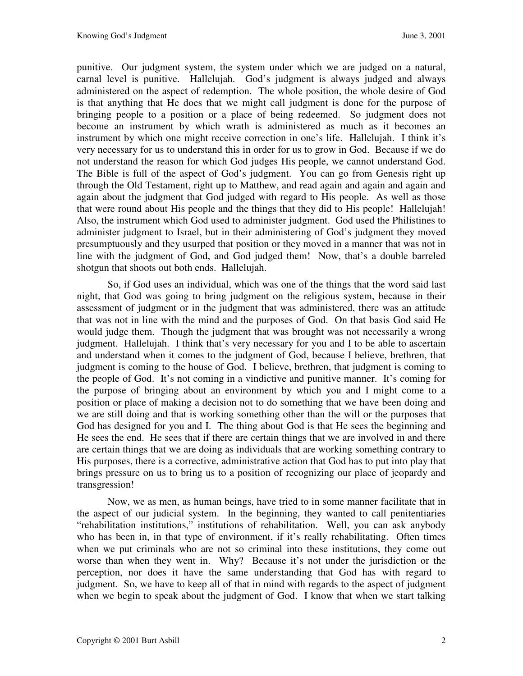punitive. Our judgment system, the system under which we are judged on a natural, carnal level is punitive. Hallelujah. God's judgment is always judged and always administered on the aspect of redemption. The whole position, the whole desire of God is that anything that He does that we might call judgment is done for the purpose of bringing people to a position or a place of being redeemed. So judgment does not become an instrument by which wrath is administered as much as it becomes an instrument by which one might receive correction in one's life. Hallelujah. I think it's very necessary for us to understand this in order for us to grow in God. Because if we do not understand the reason for which God judges His people, we cannot understand God. The Bible is full of the aspect of God's judgment. You can go from Genesis right up through the Old Testament, right up to Matthew, and read again and again and again and again about the judgment that God judged with regard to His people. As well as those that were round about His people and the things that they did to His people! Hallelujah! Also, the instrument which God used to administer judgment. God used the Philistines to administer judgment to Israel, but in their administering of God's judgment they moved presumptuously and they usurped that position or they moved in a manner that was not in line with the judgment of God, and God judged them! Now, that's a double barreled shotgun that shoots out both ends. Hallelujah.

So, if God uses an individual, which was one of the things that the word said last night, that God was going to bring judgment on the religious system, because in their assessment of judgment or in the judgment that was administered, there was an attitude that was not in line with the mind and the purposes of God. On that basis God said He would judge them. Though the judgment that was brought was not necessarily a wrong judgment. Hallelujah. I think that's very necessary for you and I to be able to ascertain and understand when it comes to the judgment of God, because I believe, brethren, that judgment is coming to the house of God. I believe, brethren, that judgment is coming to the people of God. It's not coming in a vindictive and punitive manner. It's coming for the purpose of bringing about an environment by which you and I might come to a position or place of making a decision not to do something that we have been doing and we are still doing and that is working something other than the will or the purposes that God has designed for you and I. The thing about God is that He sees the beginning and He sees the end. He sees that if there are certain things that we are involved in and there are certain things that we are doing as individuals that are working something contrary to His purposes, there is a corrective, administrative action that God has to put into play that brings pressure on us to bring us to a position of recognizing our place of jeopardy and transgression!

Now, we as men, as human beings, have tried to in some manner facilitate that in the aspect of our judicial system. In the beginning, they wanted to call penitentiaries "rehabilitation institutions," institutions of rehabilitation. Well, you can ask anybody who has been in, in that type of environment, if it's really rehabilitating. Often times when we put criminals who are not so criminal into these institutions, they come out worse than when they went in. Why? Because it's not under the jurisdiction or the perception, nor does it have the same understanding that God has with regard to judgment. So, we have to keep all of that in mind with regards to the aspect of judgment when we begin to speak about the judgment of God. I know that when we start talking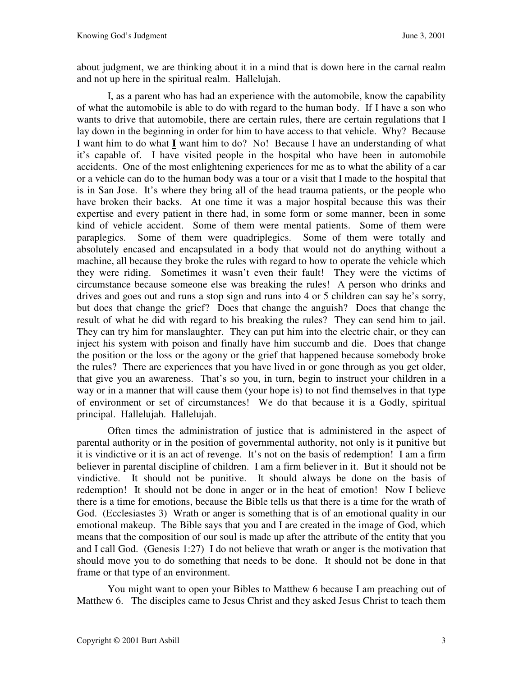about judgment, we are thinking about it in a mind that is down here in the carnal realm and not up here in the spiritual realm. Hallelujah.

I, as a parent who has had an experience with the automobile, know the capability of what the automobile is able to do with regard to the human body. If I have a son who wants to drive that automobile, there are certain rules, there are certain regulations that I lay down in the beginning in order for him to have access to that vehicle. Why? Because I want him to do what **I** want him to do? No! Because I have an understanding of what it's capable of. I have visited people in the hospital who have been in automobile accidents. One of the most enlightening experiences for me as to what the ability of a car or a vehicle can do to the human body was a tour or a visit that I made to the hospital that is in San Jose. It's where they bring all of the head trauma patients, or the people who have broken their backs. At one time it was a major hospital because this was their expertise and every patient in there had, in some form or some manner, been in some kind of vehicle accident. Some of them were mental patients. Some of them were paraplegics. Some of them were quadriplegics. Some of them were totally and absolutely encased and encapsulated in a body that would not do anything without a machine, all because they broke the rules with regard to how to operate the vehicle which they were riding. Sometimes it wasn't even their fault! They were the victims of circumstance because someone else was breaking the rules! A person who drinks and drives and goes out and runs a stop sign and runs into 4 or 5 children can say he's sorry, but does that change the grief? Does that change the anguish? Does that change the result of what he did with regard to his breaking the rules? They can send him to jail. They can try him for manslaughter. They can put him into the electric chair, or they can inject his system with poison and finally have him succumb and die. Does that change the position or the loss or the agony or the grief that happened because somebody broke the rules? There are experiences that you have lived in or gone through as you get older, that give you an awareness. That's so you, in turn, begin to instruct your children in a way or in a manner that will cause them (your hope is) to not find themselves in that type of environment or set of circumstances! We do that because it is a Godly, spiritual principal. Hallelujah. Hallelujah.

Often times the administration of justice that is administered in the aspect of parental authority or in the position of governmental authority, not only is it punitive but it is vindictive or it is an act of revenge. It's not on the basis of redemption! I am a firm believer in parental discipline of children. I am a firm believer in it. But it should not be vindictive. It should not be punitive. It should always be done on the basis of redemption! It should not be done in anger or in the heat of emotion! Now I believe there is a time for emotions, because the Bible tells us that there is a time for the wrath of God. (Ecclesiastes 3) Wrath or anger is something that is of an emotional quality in our emotional makeup. The Bible says that you and I are created in the image of God, which means that the composition of our soul is made up after the attribute of the entity that you and I call God. (Genesis 1:27) I do not believe that wrath or anger is the motivation that should move you to do something that needs to be done. It should not be done in that frame or that type of an environment.

You might want to open your Bibles to Matthew 6 because I am preaching out of Matthew 6. The disciples came to Jesus Christ and they asked Jesus Christ to teach them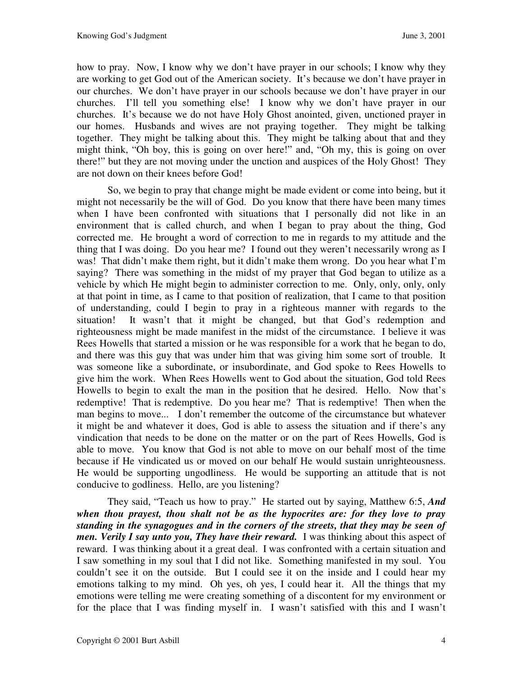how to pray. Now, I know why we don't have prayer in our schools; I know why they are working to get God out of the American society. It's because we don't have prayer in our churches. We don't have prayer in our schools because we don't have prayer in our churches. I'll tell you something else! I know why we don't have prayer in our churches. It's because we do not have Holy Ghost anointed, given, unctioned prayer in our homes. Husbands and wives are not praying together. They might be talking together. They might be talking about this. They might be talking about that and they might think, "Oh boy, this is going on over here!" and, "Oh my, this is going on over there!" but they are not moving under the unction and auspices of the Holy Ghost! They are not down on their knees before God!

So, we begin to pray that change might be made evident or come into being, but it might not necessarily be the will of God. Do you know that there have been many times when I have been confronted with situations that I personally did not like in an environment that is called church, and when I began to pray about the thing, God corrected me. He brought a word of correction to me in regards to my attitude and the thing that I was doing. Do you hear me? I found out they weren't necessarily wrong as I was! That didn't make them right, but it didn't make them wrong. Do you hear what I'm saying? There was something in the midst of my prayer that God began to utilize as a vehicle by which He might begin to administer correction to me. Only, only, only, only at that point in time, as I came to that position of realization, that I came to that position of understanding, could I begin to pray in a righteous manner with regards to the situation! It wasn't that it might be changed, but that God's redemption and righteousness might be made manifest in the midst of the circumstance. I believe it was Rees Howells that started a mission or he was responsible for a work that he began to do, and there was this guy that was under him that was giving him some sort of trouble. It was someone like a subordinate, or insubordinate, and God spoke to Rees Howells to give him the work. When Rees Howells went to God about the situation, God told Rees Howells to begin to exalt the man in the position that he desired. Hello. Now that's redemptive! That is redemptive. Do you hear me? That is redemptive! Then when the man begins to move... I don't remember the outcome of the circumstance but whatever it might be and whatever it does, God is able to assess the situation and if there's any vindication that needs to be done on the matter or on the part of Rees Howells, God is able to move. You know that God is not able to move on our behalf most of the time because if He vindicated us or moved on our behalf He would sustain unrighteousness. He would be supporting ungodliness. He would be supporting an attitude that is not conducive to godliness. Hello, are you listening?

They said, "Teach us how to pray." He started out by saying, Matthew 6:5, *And when thou prayest, thou shalt not be as the hypocrites are: for they love to pray standing in the synagogues and in the corners of the streets, that they may be seen of men. Verily I say unto you, They have their reward.* I was thinking about this aspect of reward. I was thinking about it a great deal. I was confronted with a certain situation and I saw something in my soul that I did not like. Something manifested in my soul. You couldn't see it on the outside. But I could see it on the inside and I could hear my emotions talking to my mind. Oh yes, oh yes, I could hear it. All the things that my emotions were telling me were creating something of a discontent for my environment or for the place that I was finding myself in. I wasn't satisfied with this and I wasn't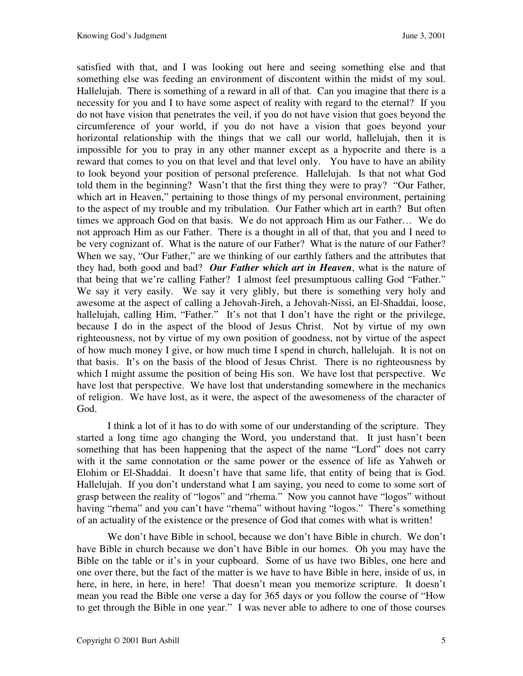satisfied with that, and I was looking out here and seeing something else and that something else was feeding an environment of discontent within the midst of my soul. Hallelujah. There is something of a reward in all of that. Can you imagine that there is a necessity for you and I to have some aspect of reality with regard to the eternal? If you do not have vision that penetrates the veil, if you do not have vision that goes beyond the circumference of your world, if you do not have a vision that goes beyond your horizontal relationship with the things that we call our world, hallelujah, then it is impossible for you to pray in any other manner except as a hypocrite and there is a reward that comes to you on that level and that level only. You have to have an ability to look beyond your position of personal preference. Hallelujah. Is that not what God told them in the beginning? Wasn't that the first thing they were to pray? "Our Father, which art in Heaven," pertaining to those things of my personal environment, pertaining to the aspect of my trouble and my tribulation. Our Father which art in earth? But often times we approach God on that basis. We do not approach Him as our Father… We do not approach Him as our Father. There is a thought in all of that, that you and I need to be very cognizant of. What is the nature of our Father? What is the nature of our Father? When we say, "Our Father," are we thinking of our earthly fathers and the attributes that they had, both good and bad? *Our Father which art in Heaven*, what is the nature of that being that we're calling Father? I almost feel presumptuous calling God "Father." We say it very easily. We say it very glibly, but there is something very holy and awesome at the aspect of calling a Jehovah-Jireh, a Jehovah-Nissi, an El-Shaddai, loose, hallelujah, calling Him, "Father." It's not that I don't have the right or the privilege, because I do in the aspect of the blood of Jesus Christ. Not by virtue of my own righteousness, not by virtue of my own position of goodness, not by virtue of the aspect of how much money I give, or how much time I spend in church, hallelujah. It is not on that basis. It's on the basis of the blood of Jesus Christ. There is no righteousness by which I might assume the position of being His son. We have lost that perspective. We have lost that perspective. We have lost that understanding somewhere in the mechanics of religion. We have lost, as it were, the aspect of the awesomeness of the character of God.

I think a lot of it has to do with some of our understanding of the scripture. They started a long time ago changing the Word, you understand that. It just hasn't been something that has been happening that the aspect of the name "Lord" does not carry with it the same connotation or the same power or the essence of life as Yahweh or Elohim or El-Shaddai. It doesn't have that same life, that entity of being that is God. Hallelujah. If you don't understand what I am saying, you need to come to some sort of grasp between the reality of "logos" and "rhema." Now you cannot have "logos" without having "rhema" and you can't have "rhema" without having "logos." There's something of an actuality of the existence or the presence of God that comes with what is written!

We don't have Bible in school, because we don't have Bible in church. We don't have Bible in church because we don't have Bible in our homes. Oh you may have the Bible on the table or it's in your cupboard. Some of us have two Bibles, one here and one over there, but the fact of the matter is we have to have Bible in here, inside of us, in here, in here, in here, in here! That doesn't mean you memorize scripture. It doesn't mean you read the Bible one verse a day for 365 days or you follow the course of "How to get through the Bible in one year." I was never able to adhere to one of those courses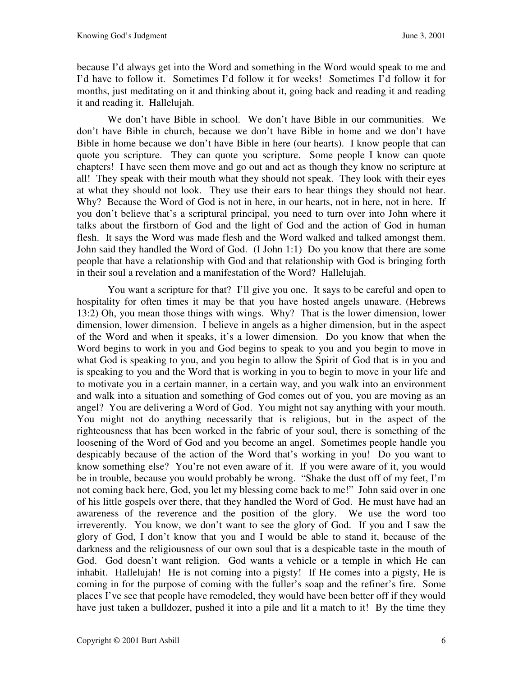because I'd always get into the Word and something in the Word would speak to me and I'd have to follow it. Sometimes I'd follow it for weeks! Sometimes I'd follow it for months, just meditating on it and thinking about it, going back and reading it and reading it and reading it. Hallelujah.

We don't have Bible in school. We don't have Bible in our communities. We don't have Bible in church, because we don't have Bible in home and we don't have Bible in home because we don't have Bible in here (our hearts). I know people that can quote you scripture. They can quote you scripture. Some people I know can quote chapters! I have seen them move and go out and act as though they know no scripture at all! They speak with their mouth what they should not speak. They look with their eyes at what they should not look. They use their ears to hear things they should not hear. Why? Because the Word of God is not in here, in our hearts, not in here, not in here. If you don't believe that's a scriptural principal, you need to turn over into John where it talks about the firstborn of God and the light of God and the action of God in human flesh. It says the Word was made flesh and the Word walked and talked amongst them. John said they handled the Word of God. (I John 1:1) Do you know that there are some people that have a relationship with God and that relationship with God is bringing forth in their soul a revelation and a manifestation of the Word? Hallelujah.

You want a scripture for that? I'll give you one. It says to be careful and open to hospitality for often times it may be that you have hosted angels unaware. (Hebrews 13:2) Oh, you mean those things with wings. Why? That is the lower dimension, lower dimension, lower dimension. I believe in angels as a higher dimension, but in the aspect of the Word and when it speaks, it's a lower dimension. Do you know that when the Word begins to work in you and God begins to speak to you and you begin to move in what God is speaking to you, and you begin to allow the Spirit of God that is in you and is speaking to you and the Word that is working in you to begin to move in your life and to motivate you in a certain manner, in a certain way, and you walk into an environment and walk into a situation and something of God comes out of you, you are moving as an angel? You are delivering a Word of God. You might not say anything with your mouth. You might not do anything necessarily that is religious, but in the aspect of the righteousness that has been worked in the fabric of your soul, there is something of the loosening of the Word of God and you become an angel. Sometimes people handle you despicably because of the action of the Word that's working in you! Do you want to know something else? You're not even aware of it. If you were aware of it, you would be in trouble, because you would probably be wrong. "Shake the dust off of my feet, I'm not coming back here, God, you let my blessing come back to me!" John said over in one of his little gospels over there, that they handled the Word of God. He must have had an awareness of the reverence and the position of the glory. We use the word too irreverently. You know, we don't want to see the glory of God. If you and I saw the glory of God, I don't know that you and I would be able to stand it, because of the darkness and the religiousness of our own soul that is a despicable taste in the mouth of God. God doesn't want religion. God wants a vehicle or a temple in which He can inhabit. Hallelujah! He is not coming into a pigsty! If He comes into a pigsty, He is coming in for the purpose of coming with the fuller's soap and the refiner's fire. Some places I've see that people have remodeled, they would have been better off if they would have just taken a bulldozer, pushed it into a pile and lit a match to it! By the time they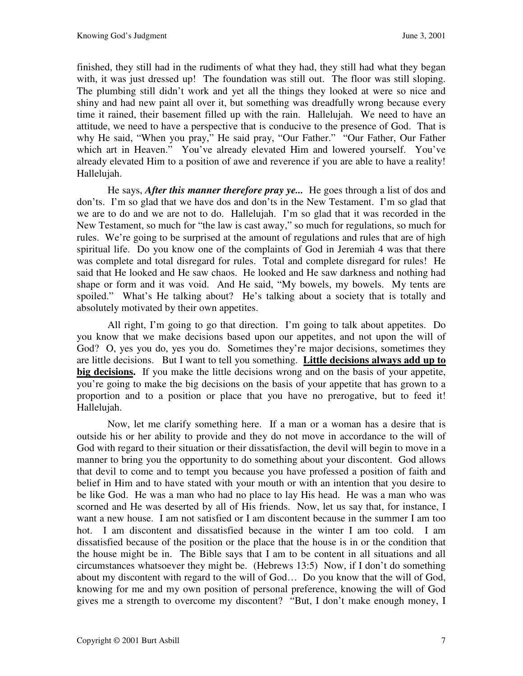finished, they still had in the rudiments of what they had, they still had what they began with, it was just dressed up! The foundation was still out. The floor was still sloping. The plumbing still didn't work and yet all the things they looked at were so nice and shiny and had new paint all over it, but something was dreadfully wrong because every time it rained, their basement filled up with the rain. Hallelujah. We need to have an attitude, we need to have a perspective that is conducive to the presence of God. That is why He said, "When you pray," He said pray, "Our Father." "Our Father, Our Father which art in Heaven." You've already elevated Him and lowered yourself. You've already elevated Him to a position of awe and reverence if you are able to have a reality! Hallelujah.

He says, *After this manner therefore pray ye...* He goes through a list of dos and don'ts. I'm so glad that we have dos and don'ts in the New Testament. I'm so glad that we are to do and we are not to do. Hallelujah. I'm so glad that it was recorded in the New Testament, so much for "the law is cast away," so much for regulations, so much for rules. We're going to be surprised at the amount of regulations and rules that are of high spiritual life. Do you know one of the complaints of God in Jeremiah 4 was that there was complete and total disregard for rules. Total and complete disregard for rules! He said that He looked and He saw chaos. He looked and He saw darkness and nothing had shape or form and it was void. And He said, "My bowels, my bowels. My tents are spoiled." What's He talking about? He's talking about a society that is totally and absolutely motivated by their own appetites.

All right, I'm going to go that direction. I'm going to talk about appetites. Do you know that we make decisions based upon our appetites, and not upon the will of God? O, yes you do, yes you do. Sometimes they're major decisions, sometimes they are little decisions. But I want to tell you something. **Little decisions always add up to big decisions.** If you make the little decisions wrong and on the basis of your appetite, you're going to make the big decisions on the basis of your appetite that has grown to a proportion and to a position or place that you have no prerogative, but to feed it! Hallelujah.

Now, let me clarify something here. If a man or a woman has a desire that is outside his or her ability to provide and they do not move in accordance to the will of God with regard to their situation or their dissatisfaction, the devil will begin to move in a manner to bring you the opportunity to do something about your discontent. God allows that devil to come and to tempt you because you have professed a position of faith and belief in Him and to have stated with your mouth or with an intention that you desire to be like God. He was a man who had no place to lay His head. He was a man who was scorned and He was deserted by all of His friends. Now, let us say that, for instance, I want a new house. I am not satisfied or I am discontent because in the summer I am too hot. I am discontent and dissatisfied because in the winter I am too cold. I am dissatisfied because of the position or the place that the house is in or the condition that the house might be in. The Bible says that I am to be content in all situations and all circumstances whatsoever they might be. (Hebrews 13:5) Now, if I don't do something about my discontent with regard to the will of God… Do you know that the will of God, knowing for me and my own position of personal preference, knowing the will of God gives me a strength to overcome my discontent? "But, I don't make enough money, I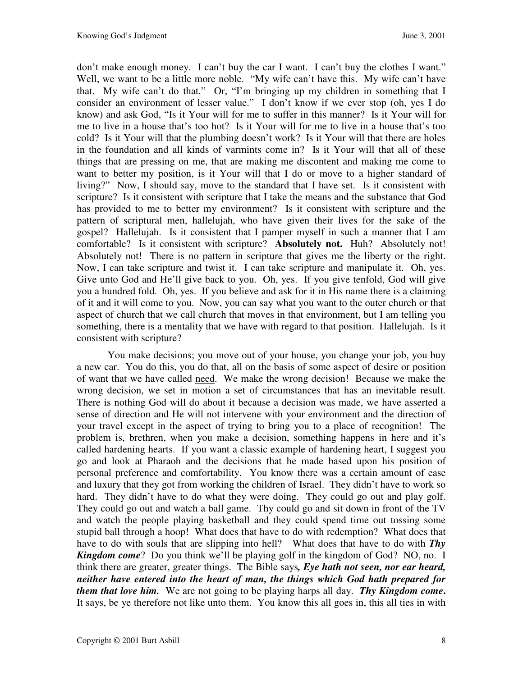don't make enough money. I can't buy the car I want. I can't buy the clothes I want." Well, we want to be a little more noble. "My wife can't have this. My wife can't have that. My wife can't do that." Or, "I'm bringing up my children in something that I consider an environment of lesser value." I don't know if we ever stop (oh, yes I do know) and ask God, "Is it Your will for me to suffer in this manner? Is it Your will for me to live in a house that's too hot? Is it Your will for me to live in a house that's too cold? Is it Your will that the plumbing doesn't work? Is it Your will that there are holes in the foundation and all kinds of varmints come in? Is it Your will that all of these things that are pressing on me, that are making me discontent and making me come to want to better my position, is it Your will that I do or move to a higher standard of living?" Now, I should say, move to the standard that I have set. Is it consistent with scripture? Is it consistent with scripture that I take the means and the substance that God has provided to me to better my environment? Is it consistent with scripture and the pattern of scriptural men, hallelujah, who have given their lives for the sake of the gospel? Hallelujah. Is it consistent that I pamper myself in such a manner that I am comfortable? Is it consistent with scripture? **Absolutely not.** Huh? Absolutely not! Absolutely not! There is no pattern in scripture that gives me the liberty or the right. Now, I can take scripture and twist it. I can take scripture and manipulate it. Oh, yes. Give unto God and He'll give back to you. Oh, yes. If you give tenfold, God will give you a hundred fold. Oh, yes. If you believe and ask for it in His name there is a claiming of it and it will come to you. Now, you can say what you want to the outer church or that aspect of church that we call church that moves in that environment, but I am telling you something, there is a mentality that we have with regard to that position. Hallelujah. Is it consistent with scripture?

You make decisions; you move out of your house, you change your job, you buy a new car. You do this, you do that, all on the basis of some aspect of desire or position of want that we have called need. We make the wrong decision! Because we make the wrong decision, we set in motion a set of circumstances that has an inevitable result. There is nothing God will do about it because a decision was made, we have asserted a sense of direction and He will not intervene with your environment and the direction of your travel except in the aspect of trying to bring you to a place of recognition! The problem is, brethren, when you make a decision, something happens in here and it's called hardening hearts. If you want a classic example of hardening heart, I suggest you go and look at Pharaoh and the decisions that he made based upon his position of personal preference and comfortability. You know there was a certain amount of ease and luxury that they got from working the children of Israel. They didn't have to work so hard. They didn't have to do what they were doing. They could go out and play golf. They could go out and watch a ball game. Thy could go and sit down in front of the TV and watch the people playing basketball and they could spend time out tossing some stupid ball through a hoop! What does that have to do with redemption? What does that have to do with souls that are slipping into hell? What does that have to do with *Thy*  **Kingdom come**? Do you think we'll be playing golf in the kingdom of God? NO, no. I think there are greater, greater things. The Bible says*, Eye hath not seen, nor ear heard, neither have entered into the heart of man, the things which God hath prepared for them that love him.* We are not going to be playing harps all day. *Thy Kingdom come***.** It says, be ye therefore not like unto them. You know this all goes in, this all ties in with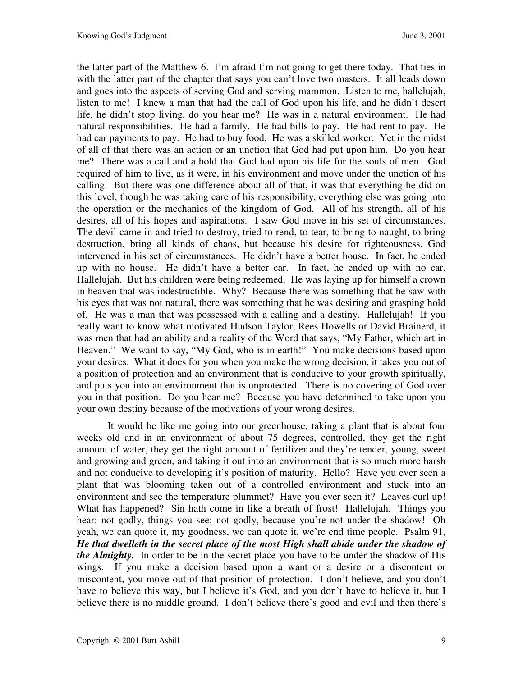the latter part of the Matthew 6. I'm afraid I'm not going to get there today. That ties in with the latter part of the chapter that says you can't love two masters. It all leads down and goes into the aspects of serving God and serving mammon. Listen to me, hallelujah, listen to me! I knew a man that had the call of God upon his life, and he didn't desert life, he didn't stop living, do you hear me? He was in a natural environment. He had natural responsibilities. He had a family. He had bills to pay. He had rent to pay. He had car payments to pay. He had to buy food. He was a skilled worker. Yet in the midst of all of that there was an action or an unction that God had put upon him. Do you hear me? There was a call and a hold that God had upon his life for the souls of men. God required of him to live, as it were, in his environment and move under the unction of his calling. But there was one difference about all of that, it was that everything he did on this level, though he was taking care of his responsibility, everything else was going into the operation or the mechanics of the kingdom of God. All of his strength, all of his desires, all of his hopes and aspirations. I saw God move in his set of circumstances. The devil came in and tried to destroy, tried to rend, to tear, to bring to naught, to bring destruction, bring all kinds of chaos, but because his desire for righteousness, God intervened in his set of circumstances. He didn't have a better house. In fact, he ended up with no house. He didn't have a better car. In fact, he ended up with no car. Hallelujah. But his children were being redeemed. He was laying up for himself a crown in heaven that was indestructible. Why? Because there was something that he saw with his eyes that was not natural, there was something that he was desiring and grasping hold of. He was a man that was possessed with a calling and a destiny. Hallelujah! If you really want to know what motivated Hudson Taylor, Rees Howells or David Brainerd, it was men that had an ability and a reality of the Word that says, "My Father, which art in Heaven." We want to say, "My God, who is in earth!" You make decisions based upon your desires. What it does for you when you make the wrong decision, it takes you out of a position of protection and an environment that is conducive to your growth spiritually, and puts you into an environment that is unprotected. There is no covering of God over you in that position. Do you hear me? Because you have determined to take upon you your own destiny because of the motivations of your wrong desires.

It would be like me going into our greenhouse, taking a plant that is about four weeks old and in an environment of about 75 degrees, controlled, they get the right amount of water, they get the right amount of fertilizer and they're tender, young, sweet and growing and green, and taking it out into an environment that is so much more harsh and not conducive to developing it's position of maturity. Hello? Have you ever seen a plant that was blooming taken out of a controlled environment and stuck into an environment and see the temperature plummet? Have you ever seen it? Leaves curl up! What has happened? Sin hath come in like a breath of frost! Hallelujah. Things you hear: not godly, things you see: not godly, because you're not under the shadow! Oh yeah, we can quote it, my goodness, we can quote it, we're end time people. Psalm 91, *He that dwelleth in the secret place of the most High shall abide under the shadow of the Almighty.* In order to be in the secret place you have to be under the shadow of His wings. If you make a decision based upon a want or a desire or a discontent or miscontent, you move out of that position of protection. I don't believe, and you don't have to believe this way, but I believe it's God, and you don't have to believe it, but I believe there is no middle ground. I don't believe there's good and evil and then there's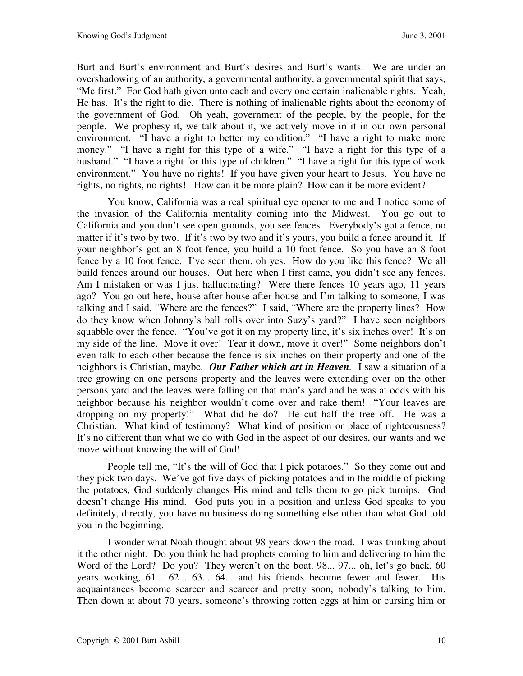Burt and Burt's environment and Burt's desires and Burt's wants. We are under an overshadowing of an authority, a governmental authority, a governmental spirit that says, "Me first." For God hath given unto each and every one certain inalienable rights. Yeah, He has. It's the right to die. There is nothing of inalienable rights about the economy of the government of God*.* Oh yeah, government of the people, by the people, for the people. We prophesy it, we talk about it, we actively move in it in our own personal environment. "I have a right to better my condition." "I have a right to make more money." "I have a right for this type of a wife." "I have a right for this type of a husband." "I have a right for this type of children." "I have a right for this type of work environment." You have no rights! If you have given your heart to Jesus. You have no rights, no rights, no rights! How can it be more plain? How can it be more evident?

You know, California was a real spiritual eye opener to me and I notice some of the invasion of the California mentality coming into the Midwest. You go out to California and you don't see open grounds, you see fences. Everybody's got a fence, no matter if it's two by two. If it's two by two and it's yours, you build a fence around it. If your neighbor's got an 8 foot fence, you build a 10 foot fence. So you have an 8 foot fence by a 10 foot fence. I've seen them, oh yes. How do you like this fence? We all build fences around our houses. Out here when I first came, you didn't see any fences. Am I mistaken or was I just hallucinating? Were there fences 10 years ago, 11 years ago? You go out here, house after house after house and I'm talking to someone, I was talking and I said, "Where are the fences?" I said, "Where are the property lines? How do they know when Johnny's ball rolls over into Suzy's yard?" I have seen neighbors squabble over the fence. "You've got it on my property line, it's six inches over! It's on my side of the line. Move it over! Tear it down, move it over!" Some neighbors don't even talk to each other because the fence is six inches on their property and one of the neighbors is Christian, maybe. *Our Father which art in Heaven.* I saw a situation of a tree growing on one persons property and the leaves were extending over on the other persons yard and the leaves were falling on that man's yard and he was at odds with his neighbor because his neighbor wouldn't come over and rake them! "Your leaves are dropping on my property!" What did he do? He cut half the tree off. He was a Christian. What kind of testimony? What kind of position or place of righteousness? It's no different than what we do with God in the aspect of our desires, our wants and we move without knowing the will of God!

People tell me, "It's the will of God that I pick potatoes." So they come out and they pick two days. We've got five days of picking potatoes and in the middle of picking the potatoes, God suddenly changes His mind and tells them to go pick turnips. God doesn't change His mind. God puts you in a position and unless God speaks to you definitely, directly, you have no business doing something else other than what God told you in the beginning.

I wonder what Noah thought about 98 years down the road. I was thinking about it the other night. Do you think he had prophets coming to him and delivering to him the Word of the Lord? Do you? They weren't on the boat. 98... 97... oh, let's go back, 60 years working, 61... 62... 63... 64... and his friends become fewer and fewer. His acquaintances become scarcer and scarcer and pretty soon, nobody's talking to him. Then down at about 70 years, someone's throwing rotten eggs at him or cursing him or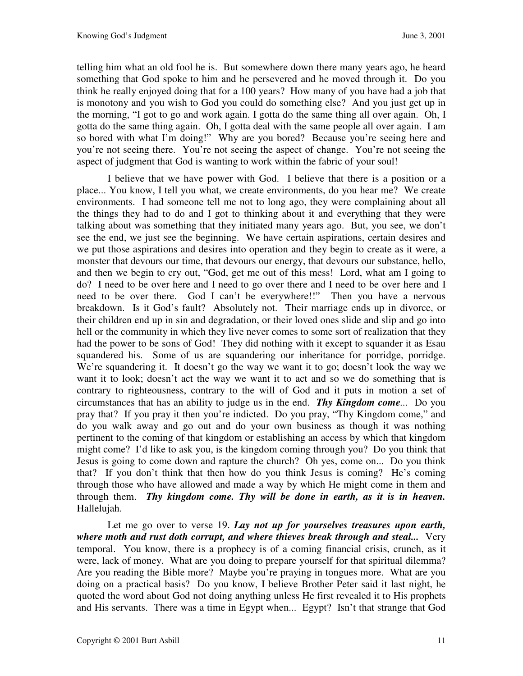telling him what an old fool he is. But somewhere down there many years ago, he heard something that God spoke to him and he persevered and he moved through it. Do you think he really enjoyed doing that for a 100 years? How many of you have had a job that is monotony and you wish to God you could do something else? And you just get up in the morning, "I got to go and work again. I gotta do the same thing all over again. Oh, I gotta do the same thing again. Oh, I gotta deal with the same people all over again. I am so bored with what I'm doing!" Why are you bored? Because you're seeing here and you're not seeing there. You're not seeing the aspect of change. You're not seeing the aspect of judgment that God is wanting to work within the fabric of your soul!

I believe that we have power with God. I believe that there is a position or a place... You know, I tell you what, we create environments, do you hear me? We create environments. I had someone tell me not to long ago, they were complaining about all the things they had to do and I got to thinking about it and everything that they were talking about was something that they initiated many years ago. But, you see, we don't see the end, we just see the beginning. We have certain aspirations, certain desires and we put those aspirations and desires into operation and they begin to create as it were, a monster that devours our time, that devours our energy, that devours our substance, hello, and then we begin to cry out, "God, get me out of this mess! Lord, what am I going to do? I need to be over here and I need to go over there and I need to be over here and I need to be over there. God I can't be everywhere!!" Then you have a nervous breakdown. Is it God's fault? Absolutely not. Their marriage ends up in divorce, or their children end up in sin and degradation, or their loved ones slide and slip and go into hell or the community in which they live never comes to some sort of realization that they had the power to be sons of God! They did nothing with it except to squander it as Esau squandered his. Some of us are squandering our inheritance for porridge, porridge. We're squandering it. It doesn't go the way we want it to go; doesn't look the way we want it to look; doesn't act the way we want it to act and so we do something that is contrary to righteousness, contrary to the will of God and it puts in motion a set of circumstances that has an ability to judge us in the end. *Thy Kingdom come...* Do you pray that? If you pray it then you're indicted. Do you pray, "Thy Kingdom come," and do you walk away and go out and do your own business as though it was nothing pertinent to the coming of that kingdom or establishing an access by which that kingdom might come? I'd like to ask you, is the kingdom coming through you? Do you think that Jesus is going to come down and rapture the church? Oh yes, come on... Do you think that? If you don't think that then how do you think Jesus is coming? He's coming through those who have allowed and made a way by which He might come in them and through them. *Thy kingdom come. Thy will be done in earth, as it is in heaven.* Hallelujah.

 Let me go over to verse 19. *Lay not up for yourselves treasures upon earth, where moth and rust doth corrupt, and where thieves break through and steal...* Very temporal. You know, there is a prophecy is of a coming financial crisis, crunch, as it were, lack of money. What are you doing to prepare yourself for that spiritual dilemma? Are you reading the Bible more? Maybe you're praying in tongues more. What are you doing on a practical basis? Do you know, I believe Brother Peter said it last night, he quoted the word about God not doing anything unless He first revealed it to His prophets and His servants. There was a time in Egypt when... Egypt? Isn't that strange that God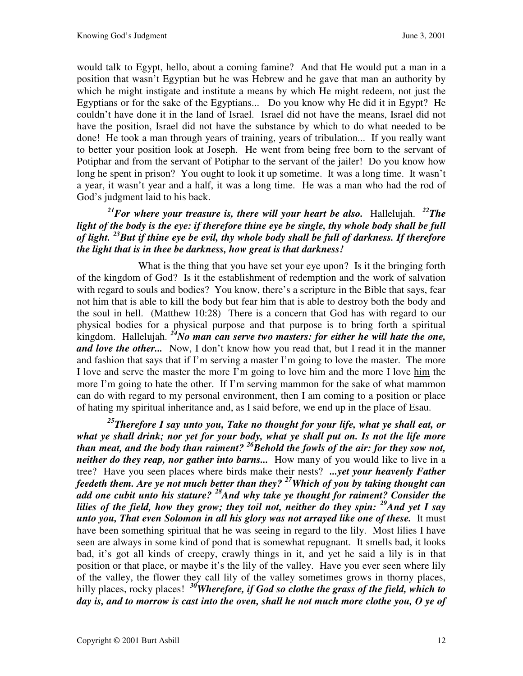would talk to Egypt, hello, about a coming famine? And that He would put a man in a position that wasn't Egyptian but he was Hebrew and he gave that man an authority by which he might instigate and institute a means by which He might redeem, not just the Egyptians or for the sake of the Egyptians... Do you know why He did it in Egypt? He couldn't have done it in the land of Israel. Israel did not have the means, Israel did not have the position, Israel did not have the substance by which to do what needed to be done! He took a man through years of training, years of tribulation... If you really want to better your position look at Joseph. He went from being free born to the servant of Potiphar and from the servant of Potiphar to the servant of the jailer! Do you know how long he spent in prison? You ought to look it up sometime. It was a long time. It wasn't a year, it wasn't year and a half, it was a long time. He was a man who had the rod of God's judgment laid to his back.

## $^{21}$ *For where your treasure is, there will your heart be also.* Hallelujah.  $^{22}$ *The light of the body is the eye: if therefore thine eye be single, thy whole body shall be full of light. <sup>23</sup>But if thine eye be evil, thy whole body shall be full of darkness. If therefore the light that is in thee be darkness, how great is that darkness!*

What is the thing that you have set your eye upon? Is it the bringing forth of the kingdom of God? Is it the establishment of redemption and the work of salvation with regard to souls and bodies? You know, there's a scripture in the Bible that says, fear not him that is able to kill the body but fear him that is able to destroy both the body and the soul in hell. (Matthew 10:28) There is a concern that God has with regard to our physical bodies for a physical purpose and that purpose is to bring forth a spiritual kingdom. Hallelujah. *<sup>24</sup>No man can serve two masters: for either he will hate the one, and love the other...* Now, I don't know how you read that, but I read it in the manner and fashion that says that if I'm serving a master I'm going to love the master. The more I love and serve the master the more I'm going to love him and the more I love him the more I'm going to hate the other. If I'm serving mammon for the sake of what mammon can do with regard to my personal environment, then I am coming to a position or place of hating my spiritual inheritance and, as I said before, we end up in the place of Esau.

*<sup>25</sup>Therefore I say unto you, Take no thought for your life, what ye shall eat, or what ye shall drink; nor yet for your body, what ye shall put on. Is not the life more than meat, and the body than raiment? <sup>26</sup>Behold the fowls of the air: for they sow not, neither do they reap, nor gather into barns...* How many of you would like to live in a tree? Have you seen places where birds make their nests? *...yet your heavenly Father feedeth them. Are ye not much better than they? <sup>27</sup>Which of you by taking thought can add one cubit unto his stature? <sup>28</sup>And why take ye thought for raiment? Consider the lilies of the field, how they grow; they toil not, neither do they spin: <sup>29</sup>And yet I say unto you, That even Solomon in all his glory was not arrayed like one of these.* It must have been something spiritual that he was seeing in regard to the lily. Most lilies I have seen are always in some kind of pond that is somewhat repugnant. It smells bad, it looks bad, it's got all kinds of creepy, crawly things in it, and yet he said a lily is in that position or that place, or maybe it's the lily of the valley. Have you ever seen where lily of the valley, the flower they call lily of the valley sometimes grows in thorny places, hilly places, rocky places! <sup>30</sup>*Wherefore, if God so clothe the grass of the field, which to day is, and to morrow is cast into the oven, shall he not much more clothe you, O ye of*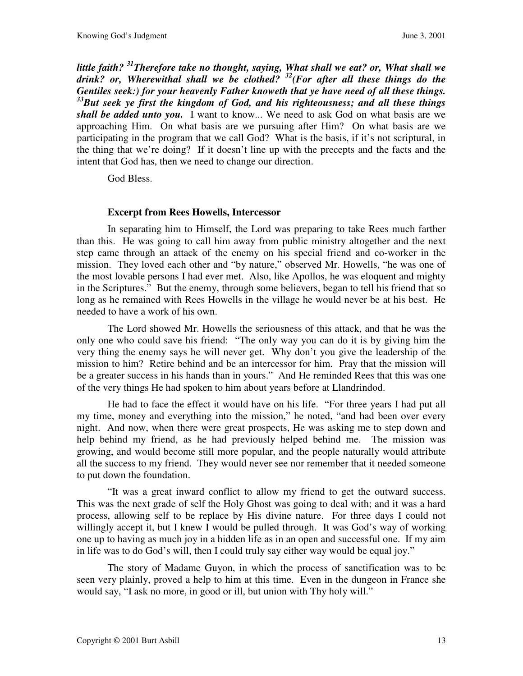*little faith? <sup>31</sup>Therefore take no thought, saying, What shall we eat? or, What shall we drink? or, Wherewithal shall we be clothed? <sup>32</sup>(For after all these things do the Gentiles seek:) for your heavenly Father knoweth that ye have need of all these things. <sup>33</sup>But seek ye first the kingdom of God, and his righteousness; and all these things shall be added unto you.* I want to know... We need to ask God on what basis are we approaching Him. On what basis are we pursuing after Him? On what basis are we participating in the program that we call God? What is the basis, if it's not scriptural, in the thing that we're doing? If it doesn't line up with the precepts and the facts and the intent that God has, then we need to change our direction.

God Bless.

## **Excerpt from Rees Howells, Intercessor**

 In separating him to Himself, the Lord was preparing to take Rees much farther than this. He was going to call him away from public ministry altogether and the next step came through an attack of the enemy on his special friend and co-worker in the mission. They loved each other and "by nature," observed Mr. Howells, "he was one of the most lovable persons I had ever met. Also, like Apollos, he was eloquent and mighty in the Scriptures." But the enemy, through some believers, began to tell his friend that so long as he remained with Rees Howells in the village he would never be at his best. He needed to have a work of his own.

 The Lord showed Mr. Howells the seriousness of this attack, and that he was the only one who could save his friend: "The only way you can do it is by giving him the very thing the enemy says he will never get. Why don't you give the leadership of the mission to him? Retire behind and be an intercessor for him. Pray that the mission will be a greater success in his hands than in yours." And He reminded Rees that this was one of the very things He had spoken to him about years before at Llandrindod.

 He had to face the effect it would have on his life. "For three years I had put all my time, money and everything into the mission," he noted, "and had been over every night. And now, when there were great prospects, He was asking me to step down and help behind my friend, as he had previously helped behind me. The mission was growing, and would become still more popular, and the people naturally would attribute all the success to my friend. They would never see nor remember that it needed someone to put down the foundation.

 "It was a great inward conflict to allow my friend to get the outward success. This was the next grade of self the Holy Ghost was going to deal with; and it was a hard process, allowing self to be replace by His divine nature. For three days I could not willingly accept it, but I knew I would be pulled through. It was God's way of working one up to having as much joy in a hidden life as in an open and successful one. If my aim in life was to do God's will, then I could truly say either way would be equal joy."

 The story of Madame Guyon, in which the process of sanctification was to be seen very plainly, proved a help to him at this time. Even in the dungeon in France she would say, "I ask no more, in good or ill, but union with Thy holy will."